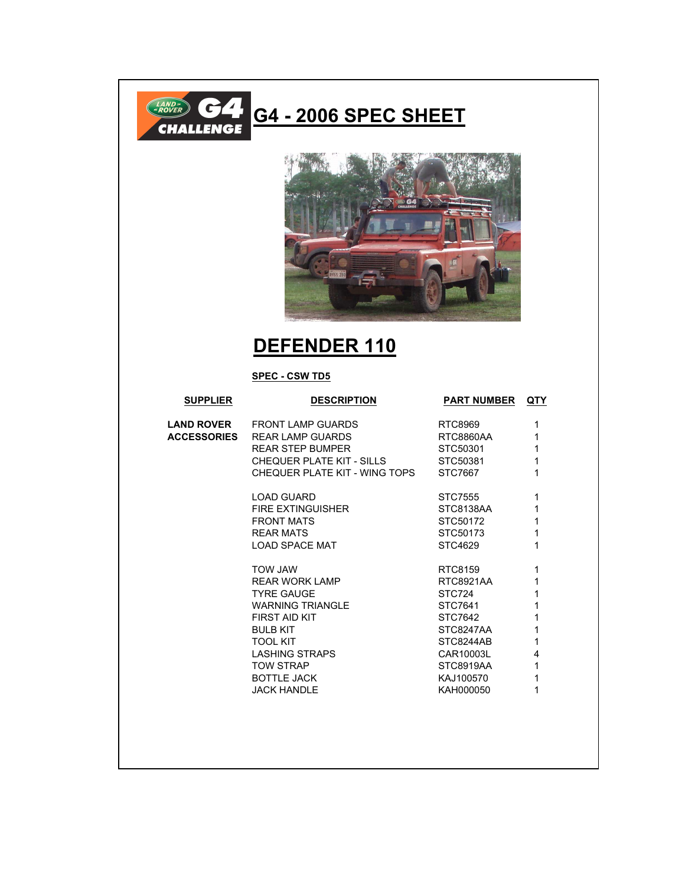

## G4 - 2006 SPEC SHEET



## **DEFENDER 110**

## **SPEC - CSW TD5**

| <b>SUPPLIER</b>    | <b>DESCRIPTION</b>            | <b>PART NUMBER</b> | <b>QTY</b>   |
|--------------------|-------------------------------|--------------------|--------------|
| <b>LAND ROVER</b>  | FRONT LAMP GUARDS             | RTC8969            | 1            |
| <b>ACCESSORIES</b> | REAR LAMP GUARDS              | RTC8860AA          | 1            |
|                    | <b>REAR STEP BUMPER</b>       | STC50301           | 1            |
|                    | CHEQUER PLATE KIT - SILLS     | STC50381           | $\mathbf{1}$ |
|                    | CHEQUER PLATE KIT - WING TOPS | STC7667            | 1            |
|                    | <b>LOAD GUARD</b>             | STC7555            | 1            |
|                    | FIRE EXTINGUISHER             | STC8138AA          | 1            |
|                    | <b>FRONT MATS</b>             | STC50172           | 1            |
|                    | RFAR MATS                     | STC50173           | 1            |
|                    | <b>LOAD SPACE MAT</b>         | STC4629            | 1            |
|                    | <b>WAL WOT</b>                | RTC8159            | 1            |
|                    | REAR WORK LAMP                | RTC8921AA          | 1            |
|                    | <b>TYRE GAUGE</b>             | STC724             | 1            |
|                    | WARNING TRIANGLE              | STC7641            | 1            |
|                    | <b>FIRST AID KIT</b>          | STC7642            | 1            |
|                    | <b>BULB KIT</b>               | STC8247AA          | 1            |
|                    | <b>TOOL KIT</b>               | STC8244AB          | 1            |
|                    | <b>LASHING STRAPS</b>         | CAR10003L          | 4            |
|                    | <b>TOW STRAP</b>              | STC8919AA          | $\mathbf{1}$ |
|                    | <b>BOTTLE JACK</b>            | KAJ100570          | 1            |
|                    | <b>JACK HANDLE</b>            | KAH000050          | 1            |
|                    |                               |                    |              |